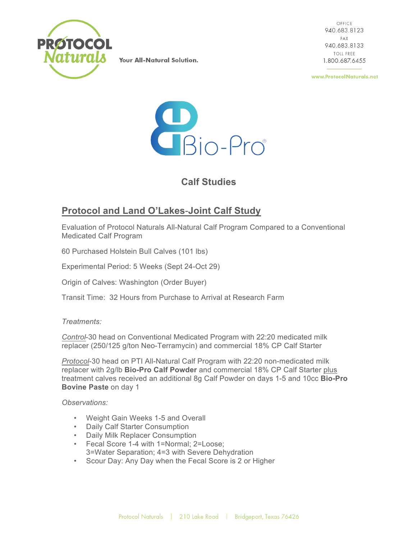

Your All-Natural Solution.

OFFICE 940.683.8123 FAX 940.683.8133 **TOLL FREE** 1.800.687.6455

www.ProtocolNaturals.net



## **Calf Studies**

## **Protocol and Land O'Lakes**-**Joint Calf Study**

Evaluation of Protocol Naturals All-Natural Calf Program Compared to a Conventional Medicated Calf Program

60 Purchased Holstein Bull Calves (101 lbs)

Experimental Period: 5 Weeks (Sept 24-Oct 29)

Origin of Calves: Washington (Order Buyer)

Transit Time: 32 Hours from Purchase to Arrival at Research Farm

*Treatments:*

*Control*-30 head on Conventional Medicated Program with 22:20 medicated milk replacer (250/125 g/ton Neo-Terramycin) and commercial 18% CP Calf Starter

*Protocol*-30 head on PTI All-Natural Calf Program with 22:20 non-medicated milk replacer with 2g/lb **Bio-Pro Calf Powder** and commercial 18% CP Calf Starter plus treatment calves received an additional 8g Calf Powder on days 1-5 and 10cc **Bio-Pro Bovine Paste** on day 1

*Observations:*

- Weight Gain Weeks 1-5 and Overall
- Daily Calf Starter Consumption
- Daily Milk Replacer Consumption
- Fecal Score 1-4 with 1=Normal; 2=Loose; 3=Water Separation; 4=3 with Severe Dehydration
- Scour Day: Any Day when the Fecal Score is 2 or Higher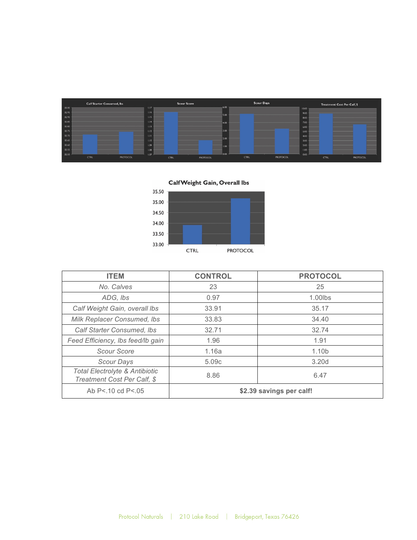| <b>Calf Starter Consumed, lbs</b> | <b>Scour Score</b>      | <b>Scour Days</b>       | Treatment Cost Per Calf, \$ |
|-----------------------------------|-------------------------|-------------------------|-----------------------------|
| 33.00                             | 1.17                    | $-6.00$                 | 10.00                       |
| 32.95                             | 1.16                    | 5.00                    | 9.00                        |
| 32.90                             | 1.15                    |                         | 8.00                        |
| 32.85                             | 1.14                    | 4.00                    | 7,00                        |
| 32.80                             | 1.13                    |                         | 6.00                        |
| 32.75                             | 1.12                    | 3.00                    | 5.00                        |
| 32.70                             | 1.11                    |                         | 4.00                        |
| 32.65                             | 1.10                    | 2.00                    | 3.00                        |
| 32.60                             | 1.09                    | 1.00                    | 2.00                        |
| 32.55                             | 1.08                    |                         | 1.00                        |
| 32.50                             | 1.07                    | 0.00                    | 0.00                        |
| CTRL<br>PROTOCOL                  | <b>CTRL</b><br>PROTOCOL | <b>CTRL</b><br>PROTOCOL | PROTOCOL<br>CTRL            |

Calf Weight Gain, Overall lbs 35.50 35.00 34.50 34.00 33.50 33.00  $\ensuremath{\mathsf{CTRL}}$ PROTOCOL

| <b>ITEM</b>                                                              | <b>CONTROL</b>             | <b>PROTOCOL</b>   |  |
|--------------------------------------------------------------------------|----------------------------|-------------------|--|
| No. Calves                                                               | 23                         | 25                |  |
| ADG, Ibs                                                                 | 0.97                       | $1.00$ lbs        |  |
| Calf Weight Gain, overall Ibs                                            | 33.91                      | 35.17             |  |
| Milk Replacer Consumed, Ibs                                              | 33.83                      | 34.40             |  |
| Calf Starter Consumed, Ibs                                               | 32.71                      | 32.74             |  |
| Feed Efficiency, Ibs feed/Ib gain                                        | 1.96                       | 1.91              |  |
| Scour Score                                                              | 1.10 <sub>b</sub><br>1.16a |                   |  |
| Scour Days                                                               | 5.09c                      | 3.20 <sub>d</sub> |  |
| <b>Total Electrolyte &amp; Antibiotic</b><br>Treatment Cost Per Calf, \$ | 8.86                       | 6.47              |  |
| Ab P<.10 cd P<.05                                                        | \$2.39 savings per calf!   |                   |  |